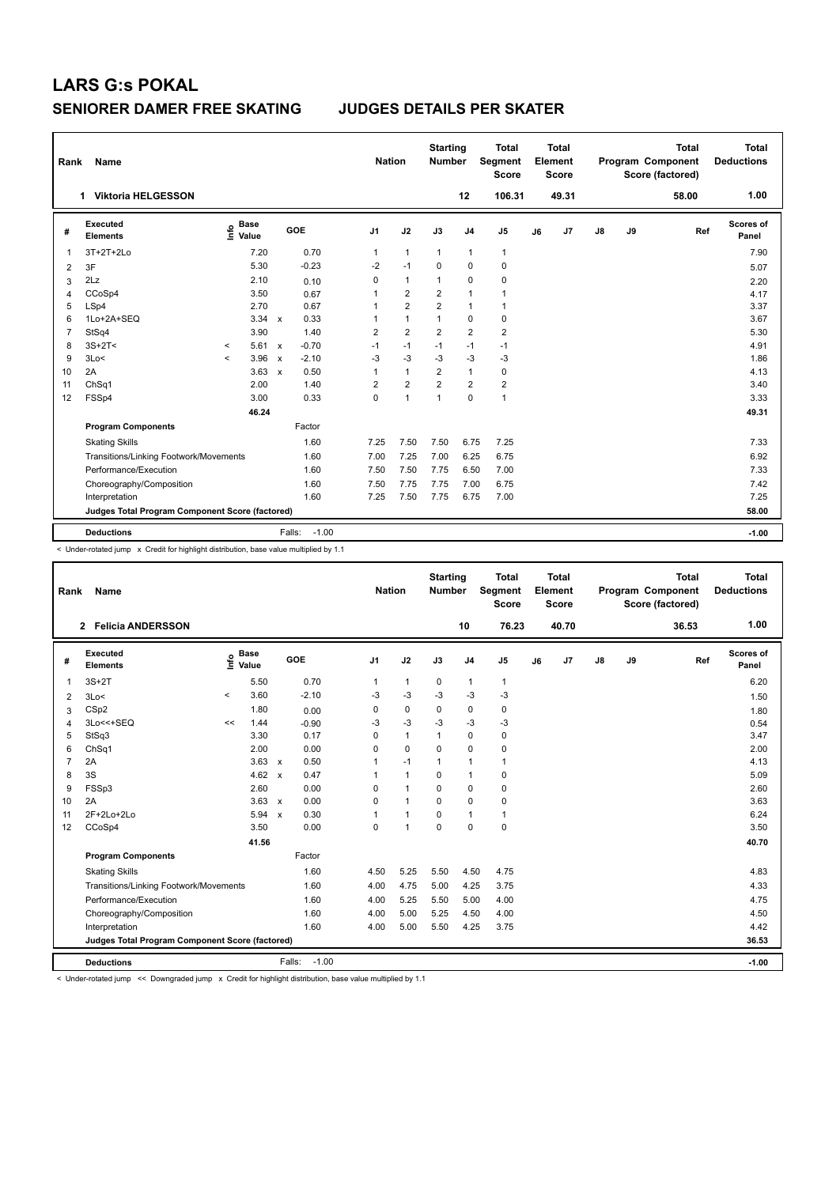| Rank           | Name                                            |         |                                  |              |                   | <b>Nation</b>           |                | <b>Starting</b><br><b>Number</b> |                         | <b>Total</b><br>Segment<br><b>Score</b> |    | Total<br>Element<br><b>Score</b> |               |    | <b>Total</b><br>Program Component<br>Score (factored) | <b>Total</b><br><b>Deductions</b> |
|----------------|-------------------------------------------------|---------|----------------------------------|--------------|-------------------|-------------------------|----------------|----------------------------------|-------------------------|-----------------------------------------|----|----------------------------------|---------------|----|-------------------------------------------------------|-----------------------------------|
|                | <b>Viktoria HELGESSON</b><br>1                  |         |                                  |              |                   |                         |                |                                  | 12                      | 106.31                                  |    | 49.31                            |               |    | 58.00                                                 | 1.00                              |
| #              | Executed<br><b>Elements</b>                     |         | <b>Base</b><br>e Base<br>⊆ Value |              | GOE               | J <sub>1</sub>          | J2             | J3                               | J <sub>4</sub>          | J <sub>5</sub>                          | J6 | J7                               | $\mathsf{J}8$ | J9 | Ref                                                   | Scores of<br>Panel                |
| $\mathbf 1$    | 3T+2T+2Lo                                       |         | 7.20                             |              | 0.70              | 1                       | $\mathbf{1}$   | $\mathbf{1}$                     | $\mathbf{1}$            | $\mathbf{1}$                            |    |                                  |               |    |                                                       | 7.90                              |
| 2              | 3F                                              |         | 5.30                             |              | $-0.23$           | $-2$                    | $-1$           | $\mathbf 0$                      | $\mathbf 0$             | $\mathbf 0$                             |    |                                  |               |    |                                                       | 5.07                              |
| 3              | 2Lz                                             |         | 2.10                             |              | 0.10              | 0                       | $\mathbf{1}$   | $\mathbf{1}$                     | $\mathbf 0$             | 0                                       |    |                                  |               |    |                                                       | 2.20                              |
| 4              | CCoSp4                                          |         | 3.50                             |              | 0.67              | 1                       | $\overline{2}$ | $\overline{2}$                   | $\mathbf{1}$            | 1                                       |    |                                  |               |    |                                                       | 4.17                              |
| 5              | LSp4                                            |         | 2.70                             |              | 0.67              | $\mathbf{1}$            | $\overline{2}$ | $\overline{2}$                   | $\mathbf{1}$            | 1                                       |    |                                  |               |    |                                                       | 3.37                              |
| 6              | 1Lo+2A+SEQ                                      |         | 3.34                             | $\mathsf{x}$ | 0.33              |                         | $\mathbf{1}$   | 1                                | $\mathbf 0$             | $\mathbf 0$                             |    |                                  |               |    |                                                       | 3.67                              |
| $\overline{7}$ | StSq4                                           |         | 3.90                             |              | 1.40              | $\overline{\mathbf{c}}$ | $\overline{2}$ | $\overline{2}$                   | $\overline{\mathbf{c}}$ | $\overline{2}$                          |    |                                  |               |    |                                                       | 5.30                              |
| 8              | $3S+2T2$                                        | $\prec$ | 5.61                             | $\mathsf{x}$ | $-0.70$           | $-1$                    | $-1$           | $-1$                             | $-1$                    | $-1$                                    |    |                                  |               |    |                                                       | 4.91                              |
| 9              | 3Lo<                                            | $\prec$ | 3.96                             | $\mathbf{x}$ | $-2.10$           | $-3$                    | $-3$           | $-3$                             | $-3$                    | $-3$                                    |    |                                  |               |    |                                                       | 1.86                              |
| 10             | 2A                                              |         | 3.63                             | $\mathbf{x}$ | 0.50              | $\mathbf{1}$            | $\mathbf{1}$   | $\overline{2}$                   | $\mathbf{1}$            | $\mathbf 0$                             |    |                                  |               |    |                                                       | 4.13                              |
| 11             | ChSq1                                           |         | 2.00                             |              | 1.40              | 2                       | $\overline{2}$ | $\overline{2}$                   | $\overline{2}$          | $\overline{2}$                          |    |                                  |               |    |                                                       | 3.40                              |
| 12             | FSSp4                                           |         | 3.00                             |              | 0.33              | $\Omega$                | $\overline{1}$ | $\mathbf{1}$                     | $\Omega$                | $\mathbf{1}$                            |    |                                  |               |    |                                                       | 3.33                              |
|                |                                                 |         | 46.24                            |              |                   |                         |                |                                  |                         |                                         |    |                                  |               |    |                                                       | 49.31                             |
|                | <b>Program Components</b>                       |         |                                  |              | Factor            |                         |                |                                  |                         |                                         |    |                                  |               |    |                                                       |                                   |
|                | <b>Skating Skills</b>                           |         |                                  |              | 1.60              | 7.25                    | 7.50           | 7.50                             | 6.75                    | 7.25                                    |    |                                  |               |    |                                                       | 7.33                              |
|                | Transitions/Linking Footwork/Movements          |         |                                  |              | 1.60              | 7.00                    | 7.25           | 7.00                             | 6.25                    | 6.75                                    |    |                                  |               |    |                                                       | 6.92                              |
|                | Performance/Execution                           |         |                                  |              | 1.60              | 7.50                    | 7.50           | 7.75                             | 6.50                    | 7.00                                    |    |                                  |               |    |                                                       | 7.33                              |
|                | Choreography/Composition                        |         |                                  |              | 1.60              | 7.50                    | 7.75           | 7.75                             | 7.00                    | 6.75                                    |    |                                  |               |    |                                                       | 7.42                              |
|                | Interpretation                                  |         |                                  |              | 1.60              | 7.25                    | 7.50           | 7.75                             | 6.75                    | 7.00                                    |    |                                  |               |    |                                                       | 7.25                              |
|                | Judges Total Program Component Score (factored) |         |                                  |              |                   |                         |                |                                  |                         |                                         |    |                                  |               |    |                                                       | 58.00                             |
|                | <b>Deductions</b>                               |         |                                  |              | $-1.00$<br>Falls: |                         |                |                                  |                         |                                         |    |                                  |               |    |                                                       | $-1.00$                           |

< Under-rotated jump x Credit for highlight distribution, base value multiplied by 1.1

| Rank           | Name                                            |          |                                  |              |         |                | <b>Nation</b>  | <b>Starting</b><br><b>Number</b> |                | <b>Total</b><br>Segment<br><b>Score</b> |    | <b>Total</b><br>Element<br><b>Score</b> |               |    | <b>Total</b><br>Program Component<br>Score (factored) | <b>Total</b><br><b>Deductions</b> |
|----------------|-------------------------------------------------|----------|----------------------------------|--------------|---------|----------------|----------------|----------------------------------|----------------|-----------------------------------------|----|-----------------------------------------|---------------|----|-------------------------------------------------------|-----------------------------------|
|                | 2 Felicia ANDERSSON                             |          |                                  |              |         |                |                |                                  | 10             | 76.23                                   |    | 40.70                                   |               |    | 36.53                                                 | 1.00                              |
| #              | Executed<br><b>Elements</b>                     |          | <b>Base</b><br>e Base<br>E Value | GOE          |         | J <sub>1</sub> | J2             | J3                               | J <sub>4</sub> | J <sub>5</sub>                          | J6 | J7                                      | $\mathsf{J}8$ | J9 | Ref                                                   | Scores of<br>Panel                |
| 1              | $3S+2T$                                         |          | 5.50                             |              | 0.70    | 1              | $\overline{1}$ | 0                                | $\mathbf{1}$   | $\mathbf{1}$                            |    |                                         |               |    |                                                       | 6.20                              |
| 2              | 3Lo<                                            | $\hat{}$ | 3.60                             |              | $-2.10$ | -3             | $-3$           | $-3$                             | $-3$           | $-3$                                    |    |                                         |               |    |                                                       | 1.50                              |
| 3              | CSp2                                            |          | 1.80                             |              | 0.00    | 0              | $\mathbf 0$    | 0                                | $\mathbf 0$    | $\mathbf 0$                             |    |                                         |               |    |                                                       | 1.80                              |
| 4              | 3Lo<<+SEQ                                       | <<       | 1.44                             |              | $-0.90$ | -3             | $-3$           | $-3$                             | $-3$           | $-3$                                    |    |                                         |               |    |                                                       | 0.54                              |
| 5              | StSq3                                           |          | 3.30                             |              | 0.17    | 0              | $\mathbf{1}$   | $\mathbf 1$                      | $\mathbf 0$    | $\pmb{0}$                               |    |                                         |               |    |                                                       | 3.47                              |
| 6              | ChSq1                                           |          | 2.00                             |              | 0.00    | 0              | $\mathbf 0$    | 0                                | $\mathbf 0$    | $\pmb{0}$                               |    |                                         |               |    |                                                       | 2.00                              |
| $\overline{7}$ | 2A                                              |          | $3.63 \times$                    |              | 0.50    | 1              | $-1$           | $\overline{1}$                   | $\overline{1}$ | $\mathbf{1}$                            |    |                                         |               |    |                                                       | 4.13                              |
| 8              | 3S                                              |          | 4.62                             | $\mathbf{x}$ | 0.47    | 1              | $\overline{1}$ | $\mathbf 0$                      | $\overline{1}$ | $\pmb{0}$                               |    |                                         |               |    |                                                       | 5.09                              |
| 9              | FSSp3                                           |          | 2.60                             |              | 0.00    | $\Omega$       | $\overline{1}$ | $\Omega$                         | 0              | 0                                       |    |                                         |               |    |                                                       | 2.60                              |
| 10             | 2A                                              |          | 3.63                             | $\mathbf{x}$ | 0.00    | 0              | $\overline{1}$ | $\Omega$                         | 0              | 0                                       |    |                                         |               |    |                                                       | 3.63                              |
| 11             | 2F+2Lo+2Lo                                      |          | 5.94                             | $\mathsf{x}$ | 0.30    | 1              | $\overline{1}$ | $\mathbf 0$                      | $\mathbf{1}$   | $\mathbf{1}$                            |    |                                         |               |    |                                                       | 6.24                              |
| 12             | CCoSp4                                          |          | 3.50                             |              | 0.00    | 0              | $\overline{1}$ | $\Omega$                         | $\mathbf 0$    | $\mathbf 0$                             |    |                                         |               |    |                                                       | 3.50                              |
|                |                                                 |          | 41.56                            |              |         |                |                |                                  |                |                                         |    |                                         |               |    |                                                       | 40.70                             |
|                | <b>Program Components</b>                       |          |                                  |              | Factor  |                |                |                                  |                |                                         |    |                                         |               |    |                                                       |                                   |
|                | <b>Skating Skills</b>                           |          |                                  |              | 1.60    | 4.50           | 5.25           | 5.50                             | 4.50           | 4.75                                    |    |                                         |               |    |                                                       | 4.83                              |
|                | Transitions/Linking Footwork/Movements          |          |                                  |              | 1.60    | 4.00           | 4.75           | 5.00                             | 4.25           | 3.75                                    |    |                                         |               |    |                                                       | 4.33                              |
|                | Performance/Execution                           |          |                                  |              | 1.60    | 4.00           | 5.25           | 5.50                             | 5.00           | 4.00                                    |    |                                         |               |    |                                                       | 4.75                              |
|                | Choreography/Composition                        |          |                                  |              | 1.60    | 4.00           | 5.00           | 5.25                             | 4.50           | 4.00                                    |    |                                         |               |    |                                                       | 4.50                              |
|                | Interpretation                                  |          |                                  |              | 1.60    | 4.00           | 5.00           | 5.50                             | 4.25           | 3.75                                    |    |                                         |               |    |                                                       | 4.42                              |
|                | Judges Total Program Component Score (factored) |          |                                  |              |         |                |                |                                  |                |                                         |    |                                         |               |    |                                                       | 36.53                             |
|                | <b>Deductions</b>                               |          |                                  | Falls:       | $-1.00$ |                |                |                                  |                |                                         |    |                                         |               |    |                                                       | $-1.00$                           |

< Under-rotated jump << Downgraded jump x Credit for highlight distribution, base value multiplied by 1.1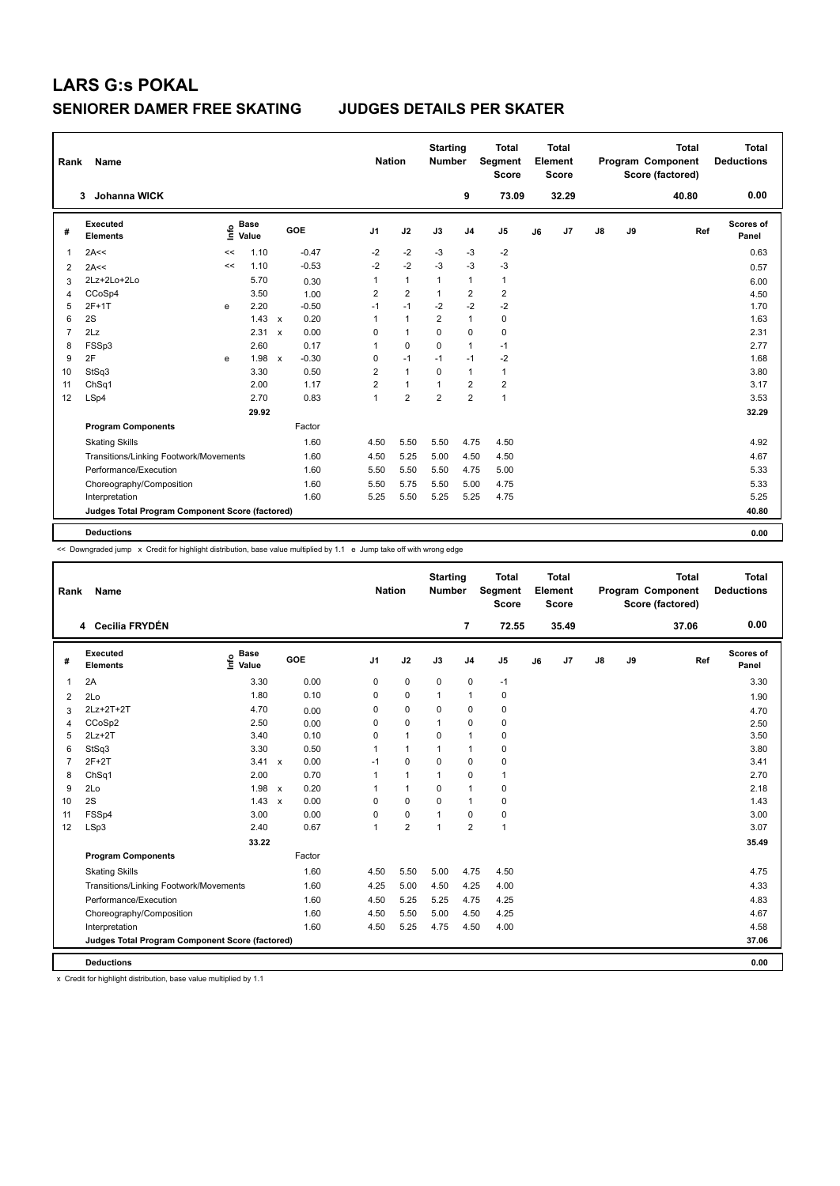| Rank                    | Name                                            |      |                      |              |         | <b>Nation</b>  |                | <b>Starting</b><br><b>Number</b> |                | <b>Total</b><br>Segment<br><b>Score</b> |    | <b>Total</b><br>Element<br><b>Score</b> |               |    | <b>Total</b><br>Program Component<br>Score (factored) | Total<br><b>Deductions</b> |
|-------------------------|-------------------------------------------------|------|----------------------|--------------|---------|----------------|----------------|----------------------------------|----------------|-----------------------------------------|----|-----------------------------------------|---------------|----|-------------------------------------------------------|----------------------------|
|                         | Johanna WICK<br>3                               |      |                      |              |         |                |                |                                  | 9              | 73.09                                   |    | 32.29                                   |               |    | 40.80                                                 | 0.00                       |
| #                       | Executed<br><b>Elements</b>                     | lnfo | <b>Base</b><br>Value |              | GOE     | J <sub>1</sub> | J2             | J3                               | J <sub>4</sub> | J <sub>5</sub>                          | J6 | J7                                      | $\mathsf{J}8$ | J9 | Ref                                                   | <b>Scores of</b><br>Panel  |
| 1                       | 2A<<                                            | <<   | 1.10                 |              | $-0.47$ | $-2$           | $-2$           | -3                               | -3             | $-2$                                    |    |                                         |               |    |                                                       | 0.63                       |
| $\overline{\mathbf{c}}$ | 2A<<                                            | <<   | 1.10                 |              | $-0.53$ | $-2$           | $-2$           | $-3$                             | $-3$           | $-3$                                    |    |                                         |               |    |                                                       | 0.57                       |
| 3                       | 2Lz+2Lo+2Lo                                     |      | 5.70                 |              | 0.30    | 1              | $\mathbf{1}$   | $\mathbf{1}$                     | $\mathbf{1}$   | $\mathbf{1}$                            |    |                                         |               |    |                                                       | 6.00                       |
| 4                       | CCoSp4                                          |      | 3.50                 |              | 1.00    | $\overline{2}$ | $\overline{2}$ | $\mathbf{1}$                     | $\overline{2}$ | $\overline{2}$                          |    |                                         |               |    |                                                       | 4.50                       |
| 5                       | $2F+1T$                                         | e    | 2.20                 |              | $-0.50$ | $-1$           | $-1$           | $-2$                             | $-2$           | $-2$                                    |    |                                         |               |    |                                                       | 1.70                       |
| 6                       | 2S                                              |      | 1.43                 | $\mathbf{x}$ | 0.20    | 1              | $\overline{1}$ | $\overline{2}$                   | $\mathbf{1}$   | 0                                       |    |                                         |               |    |                                                       | 1.63                       |
| $\overline{7}$          | 2Lz                                             |      | 2.31                 | $\mathbf{x}$ | 0.00    | 0              | $\overline{1}$ | $\mathbf 0$                      | $\pmb{0}$      | 0                                       |    |                                         |               |    |                                                       | 2.31                       |
| 8                       | FSSp3                                           |      | 2.60                 |              | 0.17    | 1              | $\Omega$       | $\Omega$                         | $\mathbf{1}$   | $-1$                                    |    |                                         |               |    |                                                       | 2.77                       |
| 9                       | 2F                                              | e    | 1.98                 | $\mathsf{x}$ | $-0.30$ | 0              | $-1$           | $-1$                             | $-1$           | $-2$                                    |    |                                         |               |    |                                                       | 1.68                       |
| 10                      | StSq3                                           |      | 3.30                 |              | 0.50    | 2              | $\overline{1}$ | $\Omega$                         | $\mathbf{1}$   | $\mathbf{1}$                            |    |                                         |               |    |                                                       | 3.80                       |
| 11                      | Ch <sub>Sq1</sub>                               |      | 2.00                 |              | 1.17    | $\overline{2}$ | $\mathbf{1}$   | $\mathbf{1}$                     | $\overline{2}$ | 2                                       |    |                                         |               |    |                                                       | 3.17                       |
| 12                      | LSp4                                            |      | 2.70                 |              | 0.83    | 1              | $\overline{2}$ | $\overline{2}$                   | $\overline{2}$ | $\mathbf{1}$                            |    |                                         |               |    |                                                       | 3.53                       |
|                         |                                                 |      | 29.92                |              |         |                |                |                                  |                |                                         |    |                                         |               |    |                                                       | 32.29                      |
|                         | <b>Program Components</b>                       |      |                      |              | Factor  |                |                |                                  |                |                                         |    |                                         |               |    |                                                       |                            |
|                         | <b>Skating Skills</b>                           |      |                      |              | 1.60    | 4.50           | 5.50           | 5.50                             | 4.75           | 4.50                                    |    |                                         |               |    |                                                       | 4.92                       |
|                         | Transitions/Linking Footwork/Movements          |      |                      |              | 1.60    | 4.50           | 5.25           | 5.00                             | 4.50           | 4.50                                    |    |                                         |               |    |                                                       | 4.67                       |
|                         | Performance/Execution                           |      |                      |              | 1.60    | 5.50           | 5.50           | 5.50                             | 4.75           | 5.00                                    |    |                                         |               |    |                                                       | 5.33                       |
|                         | Choreography/Composition                        |      |                      |              | 1.60    | 5.50           | 5.75           | 5.50                             | 5.00           | 4.75                                    |    |                                         |               |    |                                                       | 5.33                       |
|                         | Interpretation                                  |      |                      |              | 1.60    | 5.25           | 5.50           | 5.25                             | 5.25           | 4.75                                    |    |                                         |               |    |                                                       | 5.25                       |
|                         | Judges Total Program Component Score (factored) |      |                      |              |         |                |                |                                  |                |                                         |    |                                         |               |    |                                                       | 40.80                      |
|                         |                                                 |      |                      |              |         |                |                |                                  |                |                                         |    |                                         |               |    |                                                       |                            |
|                         | <b>Deductions</b>                               |      |                      |              |         |                |                |                                  |                |                                         |    |                                         |               |    |                                                       | 0.00                       |

<< Downgraded jump x Credit for highlight distribution, base value multiplied by 1.1 e Jump take off with wrong edge

| Rank | Name                                            |                                  |              |        | <b>Nation</b>  |                      | <b>Starting</b><br><b>Number</b> |                | <b>Total</b><br>Segment<br><b>Score</b> |    | <b>Total</b><br>Element<br><b>Score</b> |               |    | <b>Total</b><br>Program Component<br>Score (factored) | <b>Total</b><br><b>Deductions</b> |
|------|-------------------------------------------------|----------------------------------|--------------|--------|----------------|----------------------|----------------------------------|----------------|-----------------------------------------|----|-----------------------------------------|---------------|----|-------------------------------------------------------|-----------------------------------|
|      | 4 Cecilia FRYDÉN                                |                                  |              |        |                |                      |                                  | 7              | 72.55                                   |    | 35.49                                   |               |    | 37.06                                                 | 0.00                              |
| #    | Executed<br><b>Elements</b>                     | <b>Base</b><br>e Base<br>⊆ Value |              | GOE    | J <sub>1</sub> | J2                   | J3                               | J <sub>4</sub> | J <sub>5</sub>                          | J6 | J7                                      | $\mathsf{J}8$ | J9 | Ref                                                   | Scores of<br>Panel                |
| 1    | 2A                                              | 3.30                             |              | 0.00   | 0              | 0                    | 0                                | $\pmb{0}$      | $-1$                                    |    |                                         |               |    |                                                       | 3.30                              |
| 2    | 2Lo                                             | 1.80                             |              | 0.10   | 0              | $\mathbf 0$          | $\mathbf{1}$                     | $\overline{1}$ | 0                                       |    |                                         |               |    |                                                       | 1.90                              |
| 3    | 2Lz+2T+2T                                       | 4.70                             |              | 0.00   | 0              | 0                    | 0                                | 0              | 0                                       |    |                                         |               |    |                                                       | 4.70                              |
| 4    | CCoSp2                                          | 2.50                             |              | 0.00   | $\Omega$       | $\Omega$             | $\mathbf{1}$                     | 0              | 0                                       |    |                                         |               |    |                                                       | 2.50                              |
| 5    | $2Lz+2T$                                        | 3.40                             |              | 0.10   | 0              | $\overline{1}$       | 0                                | $\overline{1}$ | 0                                       |    |                                         |               |    |                                                       | 3.50                              |
| 6    | StSq3                                           | 3.30                             |              | 0.50   | 1              | $\blacktriangleleft$ | $\mathbf{1}$                     | $\mathbf{1}$   | $\mathbf 0$                             |    |                                         |               |    |                                                       | 3.80                              |
| 7    | $2F+2T$                                         | 3.41                             | $\mathsf{x}$ | 0.00   | $-1$           | $\mathbf 0$          | 0                                | 0              | 0                                       |    |                                         |               |    |                                                       | 3.41                              |
| 8    | ChSq1                                           | 2.00                             |              | 0.70   | 1              | $\mathbf{1}$         | $\mathbf{1}$                     | 0              | $\mathbf{1}$                            |    |                                         |               |    |                                                       | 2.70                              |
| 9    | 2Lo                                             | 1.98                             | $\mathsf{x}$ | 0.20   | 1              | $\overline{1}$       | $\mathbf 0$                      | $\overline{1}$ | $\pmb{0}$                               |    |                                         |               |    |                                                       | 2.18                              |
| 10   | 2S                                              | 1.43                             | $\mathsf{x}$ | 0.00   | 0              | $\mathbf 0$          | $\mathbf 0$                      | $\mathbf{1}$   | $\pmb{0}$                               |    |                                         |               |    |                                                       | 1.43                              |
| 11   | FSSp4                                           | 3.00                             |              | 0.00   | $\Omega$       | $\mathbf 0$          | 1                                | $\Omega$       | $\pmb{0}$                               |    |                                         |               |    |                                                       | 3.00                              |
| 12   | LSp3                                            | 2.40                             |              | 0.67   | 1              | $\overline{2}$       | 1                                | $\overline{2}$ | $\overline{1}$                          |    |                                         |               |    |                                                       | 3.07                              |
|      |                                                 | 33.22                            |              |        |                |                      |                                  |                |                                         |    |                                         |               |    |                                                       | 35.49                             |
|      | <b>Program Components</b>                       |                                  |              | Factor |                |                      |                                  |                |                                         |    |                                         |               |    |                                                       |                                   |
|      | <b>Skating Skills</b>                           |                                  |              | 1.60   | 4.50           | 5.50                 | 5.00                             | 4.75           | 4.50                                    |    |                                         |               |    |                                                       | 4.75                              |
|      | Transitions/Linking Footwork/Movements          |                                  |              | 1.60   | 4.25           | 5.00                 | 4.50                             | 4.25           | 4.00                                    |    |                                         |               |    |                                                       | 4.33                              |
|      | Performance/Execution                           |                                  |              | 1.60   | 4.50           | 5.25                 | 5.25                             | 4.75           | 4.25                                    |    |                                         |               |    |                                                       | 4.83                              |
|      | Choreography/Composition                        |                                  |              | 1.60   | 4.50           | 5.50                 | 5.00                             | 4.50           | 4.25                                    |    |                                         |               |    |                                                       | 4.67                              |
|      | Interpretation                                  |                                  |              | 1.60   | 4.50           | 5.25                 | 4.75                             | 4.50           | 4.00                                    |    |                                         |               |    |                                                       | 4.58                              |
|      | Judges Total Program Component Score (factored) |                                  |              |        |                |                      |                                  |                |                                         |    |                                         |               |    |                                                       | 37.06                             |
|      | <b>Deductions</b>                               |                                  |              |        |                |                      |                                  |                |                                         |    |                                         |               |    |                                                       | 0.00                              |
|      |                                                 |                                  |              |        |                |                      |                                  |                |                                         |    |                                         |               |    |                                                       |                                   |

x Credit for highlight distribution, base value multiplied by 1.1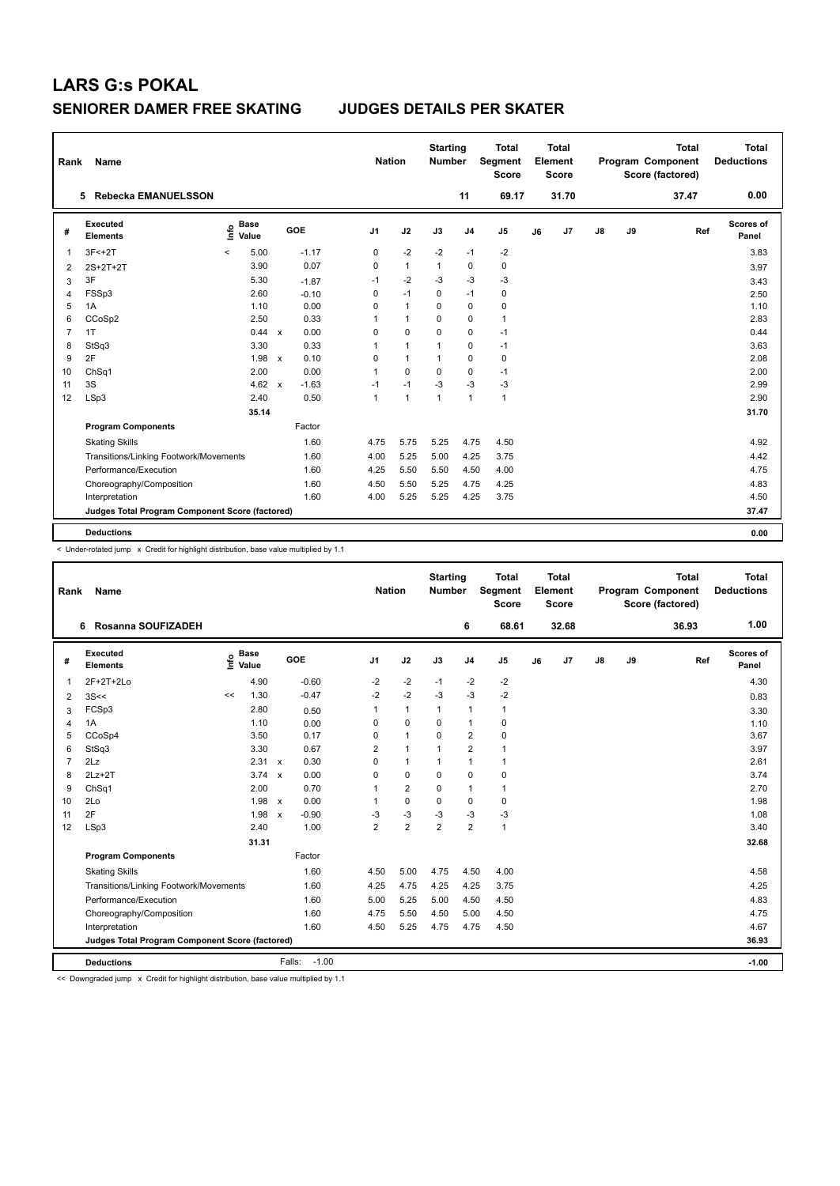| Rank           | Name                                            |       |                      |                                   |                | <b>Nation</b> | <b>Starting</b><br><b>Number</b> |                | <b>Total</b><br>Segment<br><b>Score</b> |    | <b>Total</b><br>Element<br><b>Score</b> |            |    | <b>Total</b><br>Program Component<br>Score (factored) | <b>Total</b><br><b>Deductions</b> |
|----------------|-------------------------------------------------|-------|----------------------|-----------------------------------|----------------|---------------|----------------------------------|----------------|-----------------------------------------|----|-----------------------------------------|------------|----|-------------------------------------------------------|-----------------------------------|
|                | 5 Rebecka EMANUELSSON                           |       |                      |                                   |                |               |                                  | 11             | 69.17                                   |    | 31.70                                   |            |    | 37.47                                                 | 0.00                              |
| #              | Executed<br><b>Elements</b>                     | ۴ů    | <b>Base</b><br>Value | GOE                               | J <sub>1</sub> | J2            | J3                               | J <sub>4</sub> | J <sub>5</sub>                          | J6 | J7                                      | ${\sf J8}$ | J9 | Ref                                                   | Scores of<br>Panel                |
| $\mathbf{1}$   | $3F < +2T$                                      | $\,<$ | 5.00                 | $-1.17$                           | 0              | $-2$          | $-2$                             | $-1$           | $-2$                                    |    |                                         |            |    |                                                       | 3.83                              |
| $\overline{2}$ | 2S+2T+2T                                        |       | 3.90                 | 0.07                              | 0              | $\mathbf{1}$  | $\mathbf{1}$                     | $\mathbf 0$    | 0                                       |    |                                         |            |    |                                                       | 3.97                              |
| 3              | 3F                                              |       | 5.30                 | $-1.87$                           | $-1$           | $-2$          | $-3$                             | $-3$           | $-3$                                    |    |                                         |            |    |                                                       | 3.43                              |
| $\overline{4}$ | FSSp3                                           |       | 2.60                 | $-0.10$                           | $\Omega$       | $-1$          | $\Omega$                         | $-1$           | 0                                       |    |                                         |            |    |                                                       | 2.50                              |
| 5              | 1A                                              |       | 1.10                 | 0.00                              | 0              | $\mathbf{1}$  | $\Omega$                         | $\mathbf 0$    | 0                                       |    |                                         |            |    |                                                       | 1.10                              |
| 6              | CCoSp2                                          |       | 2.50                 | 0.33                              | 1              | $\mathbf{1}$  | $\Omega$                         | 0              | $\mathbf{1}$                            |    |                                         |            |    |                                                       | 2.83                              |
| $\overline{7}$ | 1T                                              |       | 0.44                 | 0.00<br>$\boldsymbol{\mathsf{x}}$ | $\Omega$       | 0             | $\Omega$                         | 0              | $-1$                                    |    |                                         |            |    |                                                       | 0.44                              |
| 8              | StSq3                                           |       | 3.30                 | 0.33                              |                | 1             | 1                                | 0              | $-1$                                    |    |                                         |            |    |                                                       | 3.63                              |
| 9              | 2F                                              |       | $1.98 \times$        | 0.10                              | 0              | $\mathbf{1}$  | 1                                | $\Omega$       | 0                                       |    |                                         |            |    |                                                       | 2.08                              |
| 10             | ChSq1                                           |       | 2.00                 | 0.00                              | 1              | $\Omega$      | $\Omega$                         | 0              | $-1$                                    |    |                                         |            |    |                                                       | 2.00                              |
| 11             | 3S                                              |       | 4.62 $\times$        | $-1.63$                           | $-1$           | $-1$          | $-3$                             | $-3$           | $-3$                                    |    |                                         |            |    |                                                       | 2.99                              |
| 12             | LSp3                                            |       | 2.40                 | 0.50                              | $\overline{1}$ | $\mathbf{1}$  | $\mathbf{1}$                     | $\mathbf{1}$   | $\mathbf{1}$                            |    |                                         |            |    |                                                       | 2.90                              |
|                |                                                 |       | 35.14                |                                   |                |               |                                  |                |                                         |    |                                         |            |    |                                                       | 31.70                             |
|                | <b>Program Components</b>                       |       |                      | Factor                            |                |               |                                  |                |                                         |    |                                         |            |    |                                                       |                                   |
|                | <b>Skating Skills</b>                           |       |                      | 1.60                              | 4.75           | 5.75          | 5.25                             | 4.75           | 4.50                                    |    |                                         |            |    |                                                       | 4.92                              |
|                | Transitions/Linking Footwork/Movements          |       |                      | 1.60                              | 4.00           | 5.25          | 5.00                             | 4.25           | 3.75                                    |    |                                         |            |    |                                                       | 4.42                              |
|                | Performance/Execution                           |       |                      | 1.60                              | 4.25           | 5.50          | 5.50                             | 4.50           | 4.00                                    |    |                                         |            |    |                                                       | 4.75                              |
|                | Choreography/Composition                        |       |                      | 1.60                              | 4.50           | 5.50          | 5.25                             | 4.75           | 4.25                                    |    |                                         |            |    |                                                       | 4.83                              |
|                | Interpretation                                  |       |                      | 1.60                              | 4.00           | 5.25          | 5.25                             | 4.25           | 3.75                                    |    |                                         |            |    |                                                       | 4.50                              |
|                | Judges Total Program Component Score (factored) |       |                      |                                   |                |               |                                  |                |                                         |    |                                         |            |    |                                                       | 37.47                             |
|                | <b>Deductions</b>                               |       |                      |                                   |                |               |                                  |                |                                         |    |                                         |            |    |                                                       | 0.00                              |
|                |                                                 |       |                      |                                   |                |               |                                  |                |                                         |    |                                         |            |    |                                                       |                                   |

< Under-rotated jump x Credit for highlight distribution, base value multiplied by 1.1

| Rank           | Name                                            |                                  |               |                         | <b>Nation</b>  |                | <b>Starting</b><br><b>Number</b> |                | <b>Total</b><br>Segment<br><b>Score</b> |    | <b>Total</b><br>Element<br>Score |    |    | <b>Total</b><br>Program Component<br>Score (factored) | <b>Total</b><br><b>Deductions</b> |
|----------------|-------------------------------------------------|----------------------------------|---------------|-------------------------|----------------|----------------|----------------------------------|----------------|-----------------------------------------|----|----------------------------------|----|----|-------------------------------------------------------|-----------------------------------|
|                | 6<br>Rosanna SOUFIZADEH                         |                                  |               |                         |                |                |                                  | 6              | 68.61                                   |    | 32.68                            |    |    | 36.93                                                 | 1.00                              |
| #              | <b>Executed</b><br><b>Elements</b>              | <b>Base</b><br>e Base<br>E Value |               | GOE                     | J <sub>1</sub> | J2             | J3                               | J <sub>4</sub> | J <sub>5</sub>                          | J6 | J7                               | J8 | J9 | Ref                                                   | Scores of<br>Panel                |
| 1              | 2F+2T+2Lo                                       |                                  | 4.90          | $-0.60$                 | $-2$           | $-2$           | $-1$                             | $-2$           | $-2$                                    |    |                                  |    |    |                                                       | 4.30                              |
| 2              | 3S<<                                            | <<                               | 1.30          | $-0.47$                 | $-2$           | $-2$           | $-3$                             | $-3$           | $-2$                                    |    |                                  |    |    |                                                       | 0.83                              |
| 3              | FCSp3                                           |                                  | 2.80          | 0.50                    | $\mathbf{1}$   | $\mathbf{1}$   | $\mathbf{1}$                     | $\mathbf{1}$   | $\mathbf{1}$                            |    |                                  |    |    |                                                       | 3.30                              |
| 4              | 1A                                              |                                  | 1.10          | 0.00                    | 0              | $\mathbf 0$    | 0                                | $\overline{1}$ | $\pmb{0}$                               |    |                                  |    |    |                                                       | 1.10                              |
| 5              | CCoSp4                                          |                                  | 3.50          | 0.17                    | 0              | $\overline{1}$ | $\Omega$                         | $\overline{2}$ | 0                                       |    |                                  |    |    |                                                       | 3.67                              |
| 6              | StSq3                                           |                                  | 3.30          | 0.67                    | 2              | $\mathbf{1}$   | 1                                | $\overline{2}$ | $\mathbf{1}$                            |    |                                  |    |    |                                                       | 3.97                              |
| $\overline{7}$ | 2Lz                                             |                                  | 2.31 x        | 0.30                    | 0              | $\mathbf{1}$   | $\mathbf{1}$                     | $\overline{1}$ | $\mathbf{1}$                            |    |                                  |    |    |                                                       | 2.61                              |
| 8              | $2Lz+2T$                                        |                                  | $3.74 \times$ | 0.00                    | 0              | $\mathbf 0$    | 0                                | $\mathbf 0$    | 0                                       |    |                                  |    |    |                                                       | 3.74                              |
| 9              | ChSq1                                           |                                  | 2.00          | 0.70                    | 1              | $\overline{2}$ | $\mathbf 0$                      | $\mathbf{1}$   | $\mathbf{1}$                            |    |                                  |    |    |                                                       | 2.70                              |
| 10             | 2Lo                                             |                                  | 1.98 x        | 0.00                    | 1              | $\Omega$       | $\Omega$                         | $\mathbf 0$    | $\pmb{0}$                               |    |                                  |    |    |                                                       | 1.98                              |
| 11             | 2F                                              |                                  | 1.98          | $-0.90$<br>$\mathsf{x}$ | $-3$           | $-3$           | $-3$                             | $-3$           | $-3$                                    |    |                                  |    |    |                                                       | 1.08                              |
| 12             | LSp3                                            |                                  | 2.40          | 1.00                    | $\overline{2}$ | $\overline{2}$ | $\overline{2}$                   | $\overline{2}$ | $\mathbf{1}$                            |    |                                  |    |    |                                                       | 3.40                              |
|                |                                                 |                                  | 31.31         |                         |                |                |                                  |                |                                         |    |                                  |    |    |                                                       | 32.68                             |
|                | <b>Program Components</b>                       |                                  |               | Factor                  |                |                |                                  |                |                                         |    |                                  |    |    |                                                       |                                   |
|                | <b>Skating Skills</b>                           |                                  |               | 1.60                    | 4.50           | 5.00           | 4.75                             | 4.50           | 4.00                                    |    |                                  |    |    |                                                       | 4.58                              |
|                | Transitions/Linking Footwork/Movements          |                                  |               | 1.60                    | 4.25           | 4.75           | 4.25                             | 4.25           | 3.75                                    |    |                                  |    |    |                                                       | 4.25                              |
|                | Performance/Execution                           |                                  |               | 1.60                    | 5.00           | 5.25           | 5.00                             | 4.50           | 4.50                                    |    |                                  |    |    |                                                       | 4.83                              |
|                | Choreography/Composition                        |                                  |               | 1.60                    | 4.75           | 5.50           | 4.50                             | 5.00           | 4.50                                    |    |                                  |    |    |                                                       | 4.75                              |
|                | Interpretation                                  |                                  |               | 1.60                    | 4.50           | 5.25           | 4.75                             | 4.75           | 4.50                                    |    |                                  |    |    |                                                       | 4.67                              |
|                | Judges Total Program Component Score (factored) |                                  |               |                         |                |                |                                  |                |                                         |    |                                  |    |    |                                                       | 36.93                             |
|                | <b>Deductions</b>                               |                                  |               | $-1.00$<br>Falls:       |                |                |                                  |                |                                         |    |                                  |    |    |                                                       | $-1.00$                           |

<< Downgraded jump x Credit for highlight distribution, base value multiplied by 1.1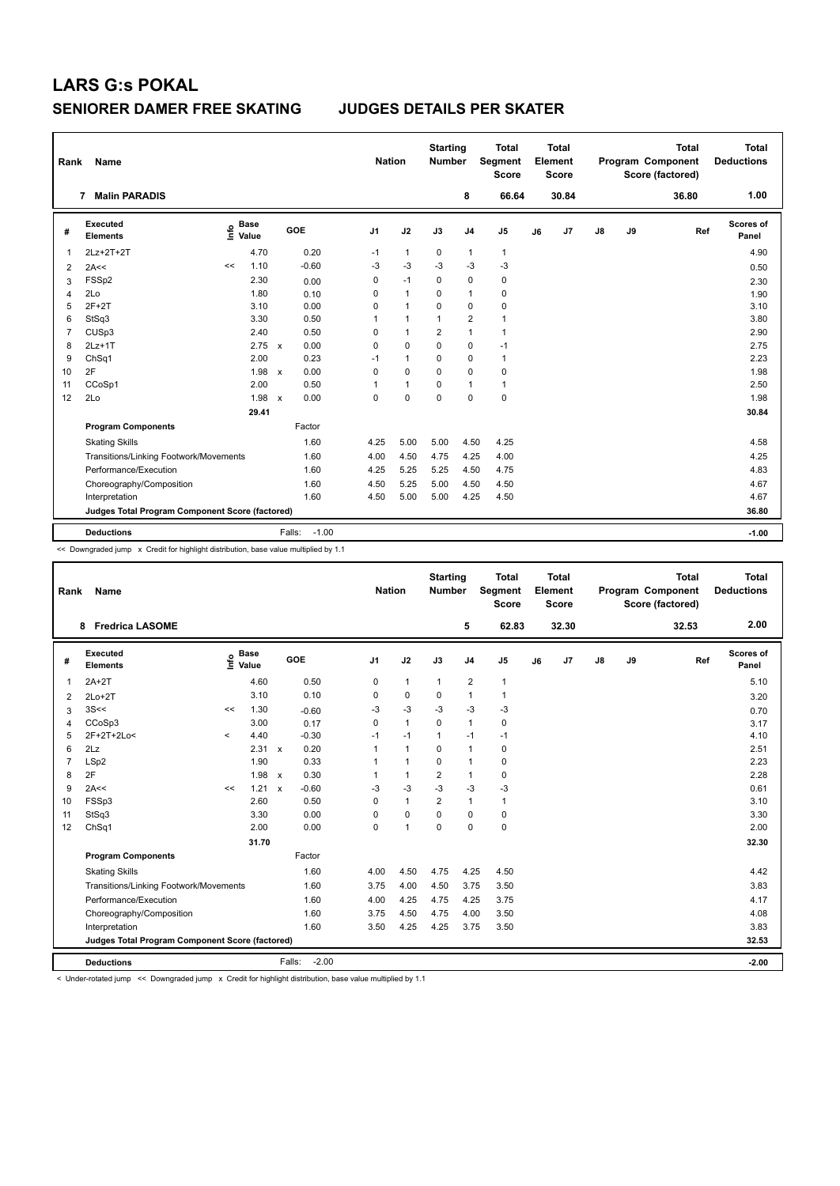| Rank           | Name                                            |                            |                           |                   | <b>Nation</b>  |                | <b>Starting</b><br><b>Number</b> |                | <b>Total</b><br>Segment<br><b>Score</b> |    | Total<br>Element<br><b>Score</b> |    |    | <b>Total</b><br>Program Component<br>Score (factored) | Total<br><b>Deductions</b> |
|----------------|-------------------------------------------------|----------------------------|---------------------------|-------------------|----------------|----------------|----------------------------------|----------------|-----------------------------------------|----|----------------------------------|----|----|-------------------------------------------------------|----------------------------|
|                | <b>Malin PARADIS</b><br>7                       |                            |                           |                   |                |                |                                  | 8              | 66.64                                   |    | 30.84                            |    |    | 36.80                                                 | 1.00                       |
| #              | Executed<br><b>Elements</b>                     | <b>Base</b><br>۴٥<br>Value |                           | GOE               | J <sub>1</sub> | J2             | J3                               | J <sub>4</sub> | J <sub>5</sub>                          | J6 | J <sub>7</sub>                   | J8 | J9 | Ref                                                   | Scores of<br>Panel         |
| 1              | 2Lz+2T+2T                                       | 4.70                       |                           | 0.20              | $-1$           | $\mathbf{1}$   | 0                                | $\mathbf{1}$   | $\mathbf{1}$                            |    |                                  |    |    |                                                       | 4.90                       |
| $\overline{2}$ | 2A<<                                            | 1.10<br><<                 |                           | $-0.60$           | $-3$           | $-3$           | $-3$                             | $-3$           | $-3$                                    |    |                                  |    |    |                                                       | 0.50                       |
| 3              | FSSp2                                           | 2.30                       |                           | 0.00              | 0              | $-1$           | $\mathbf 0$                      | $\mathbf 0$    | 0                                       |    |                                  |    |    |                                                       | 2.30                       |
| 4              | 2Lo                                             | 1.80                       |                           | 0.10              | 0              | $\overline{1}$ | $\Omega$                         | $\mathbf{1}$   | 0                                       |    |                                  |    |    |                                                       | 1.90                       |
| 5              | $2F+2T$                                         | 3.10                       |                           | 0.00              | 0              | $\mathbf{1}$   | $\Omega$                         | 0              | 0                                       |    |                                  |    |    |                                                       | 3.10                       |
| 6              | StSq3                                           | 3.30                       |                           | 0.50              | 1              | $\mathbf{1}$   | $\overline{1}$                   | $\overline{2}$ | $\mathbf{1}$                            |    |                                  |    |    |                                                       | 3.80                       |
| $\overline{7}$ | CUSp3                                           | 2.40                       |                           | 0.50              | $\Omega$       | $\overline{1}$ | $\overline{2}$                   | $\mathbf{1}$   | $\mathbf{1}$                            |    |                                  |    |    |                                                       | 2.90                       |
| 8              | $2Lz+1T$                                        | 2.75                       | $\mathbf{x}$              | 0.00              | $\Omega$       | $\Omega$       | $\Omega$                         | $\mathbf 0$    | $-1$                                    |    |                                  |    |    |                                                       | 2.75                       |
| 9              | ChSq1                                           | 2.00                       |                           | 0.23              | $-1$           | $\mathbf{1}$   | $\Omega$                         | $\mathbf 0$    | $\mathbf{1}$                            |    |                                  |    |    |                                                       | 2.23                       |
| 10             | 2F                                              | 1.98                       | $\boldsymbol{\mathsf{x}}$ | 0.00              | 0              | $\mathbf 0$    | $\Omega$                         | 0              | 0                                       |    |                                  |    |    |                                                       | 1.98                       |
| 11             | CCoSp1                                          | 2.00                       |                           | 0.50              | 1              | $\mathbf{1}$   | 0                                | $\mathbf{1}$   | $\mathbf{1}$                            |    |                                  |    |    |                                                       | 2.50                       |
| 12             | 2Lo                                             | $1.98 \times$              |                           | 0.00              | 0              | $\Omega$       | $\Omega$                         | $\Omega$       | $\mathbf 0$                             |    |                                  |    |    |                                                       | 1.98                       |
|                |                                                 | 29.41                      |                           |                   |                |                |                                  |                |                                         |    |                                  |    |    |                                                       | 30.84                      |
|                | <b>Program Components</b>                       |                            |                           | Factor            |                |                |                                  |                |                                         |    |                                  |    |    |                                                       |                            |
|                | <b>Skating Skills</b>                           |                            |                           | 1.60              | 4.25           | 5.00           | 5.00                             | 4.50           | 4.25                                    |    |                                  |    |    |                                                       | 4.58                       |
|                | Transitions/Linking Footwork/Movements          |                            |                           | 1.60              | 4.00           | 4.50           | 4.75                             | 4.25           | 4.00                                    |    |                                  |    |    |                                                       | 4.25                       |
|                | Performance/Execution                           |                            |                           | 1.60              | 4.25           | 5.25           | 5.25                             | 4.50           | 4.75                                    |    |                                  |    |    |                                                       | 4.83                       |
|                | Choreography/Composition                        |                            |                           | 1.60              | 4.50           | 5.25           | 5.00                             | 4.50           | 4.50                                    |    |                                  |    |    |                                                       | 4.67                       |
|                | Interpretation                                  |                            |                           | 1.60              | 4.50           | 5.00           | 5.00                             | 4.25           | 4.50                                    |    |                                  |    |    |                                                       | 4.67                       |
|                | Judges Total Program Component Score (factored) |                            |                           |                   |                |                |                                  |                |                                         |    |                                  |    |    |                                                       | 36.80                      |
|                | <b>Deductions</b>                               |                            |                           | $-1.00$<br>Falls: |                |                |                                  |                |                                         |    |                                  |    |    |                                                       | $-1.00$                    |

<< Downgraded jump x Credit for highlight distribution, base value multiplied by 1.1

| Rank | Name                                            |          |                                 |              |                   | <b>Nation</b>  |                | <b>Starting</b><br><b>Number</b> |                | <b>Total</b><br>Segment<br><b>Score</b> |    | Total<br>Element<br><b>Score</b> |               |    | <b>Total</b><br>Program Component<br>Score (factored) | <b>Total</b><br><b>Deductions</b> |
|------|-------------------------------------------------|----------|---------------------------------|--------------|-------------------|----------------|----------------|----------------------------------|----------------|-----------------------------------------|----|----------------------------------|---------------|----|-------------------------------------------------------|-----------------------------------|
|      | 8 Fredrica LASOME                               |          |                                 |              |                   |                |                |                                  | 5              | 62.83                                   |    | 32.30                            |               |    | 32.53                                                 | 2.00                              |
| #    | Executed<br><b>Elements</b>                     |          | <b>Base</b><br>Base<br>Value کے |              | GOE               | J <sub>1</sub> | J2             | J3                               | J <sub>4</sub> | J <sub>5</sub>                          | J6 | J <sub>7</sub>                   | $\mathsf{J}8$ | J9 | Ref                                                   | Scores of<br>Panel                |
| 1    | $2A+2T$                                         |          | 4.60                            |              | 0.50              | 0              | $\overline{1}$ | $\mathbf{1}$                     | $\overline{2}$ | $\mathbf{1}$                            |    |                                  |               |    |                                                       | 5.10                              |
| 2    | $2Lo+2T$                                        |          | 3.10                            |              | 0.10              | 0              | $\mathbf 0$    | 0                                | $\mathbf{1}$   | $\mathbf{1}$                            |    |                                  |               |    |                                                       | 3.20                              |
| 3    | 3S<<                                            | <<       | 1.30                            |              | $-0.60$           | $-3$           | $-3$           | $-3$                             | $-3$           | $-3$                                    |    |                                  |               |    |                                                       | 0.70                              |
| 4    | CCoSp3                                          |          | 3.00                            |              | 0.17              | 0              | $\overline{1}$ | $\mathbf 0$                      | $\mathbf{1}$   | $\pmb{0}$                               |    |                                  |               |    |                                                       | 3.17                              |
| 5    | 2F+2T+2Lo<                                      | $\hat{}$ | 4.40                            |              | $-0.30$           | $-1$           | $-1$           | $\mathbf{1}$                     | $-1$           | $-1$                                    |    |                                  |               |    |                                                       | 4.10                              |
| 6    | 2Lz                                             |          | 2.31 x                          |              | 0.20              | 1              | $\overline{1}$ | 0                                | $\overline{1}$ | $\pmb{0}$                               |    |                                  |               |    |                                                       | 2.51                              |
| 7    | LSp2                                            |          | 1.90                            |              | 0.33              | 1              | $\overline{1}$ | $\Omega$                         | $\overline{1}$ | $\pmb{0}$                               |    |                                  |               |    |                                                       | 2.23                              |
| 8    | 2F                                              |          | 1.98                            | $\mathbf{x}$ | 0.30              | 1              | $\mathbf{1}$   | $\overline{2}$                   | $\mathbf{1}$   | $\pmb{0}$                               |    |                                  |               |    |                                                       | 2.28                              |
| 9    | 2A<<                                            | <<       | 1.21                            | $\mathsf{x}$ | $-0.60$           | $-3$           | $-3$           | $-3$                             | $-3$           | $-3$                                    |    |                                  |               |    |                                                       | 0.61                              |
| 10   | FSSp3                                           |          | 2.60                            |              | 0.50              | 0              | $\mathbf{1}$   | 2                                | $\mathbf{1}$   | $\mathbf{1}$                            |    |                                  |               |    |                                                       | 3.10                              |
| 11   | StSq3                                           |          | 3.30                            |              | 0.00              | 0              | $\mathbf 0$    | $\mathbf 0$                      | $\mathbf 0$    | $\pmb{0}$                               |    |                                  |               |    |                                                       | 3.30                              |
| 12   | ChSq1                                           |          | 2.00                            |              | 0.00              | 0              | $\overline{1}$ | $\Omega$                         | $\Omega$       | $\pmb{0}$                               |    |                                  |               |    |                                                       | 2.00                              |
|      |                                                 |          | 31.70                           |              |                   |                |                |                                  |                |                                         |    |                                  |               |    |                                                       | 32.30                             |
|      | <b>Program Components</b>                       |          |                                 |              | Factor            |                |                |                                  |                |                                         |    |                                  |               |    |                                                       |                                   |
|      | <b>Skating Skills</b>                           |          |                                 |              | 1.60              | 4.00           | 4.50           | 4.75                             | 4.25           | 4.50                                    |    |                                  |               |    |                                                       | 4.42                              |
|      | Transitions/Linking Footwork/Movements          |          |                                 |              | 1.60              | 3.75           | 4.00           | 4.50                             | 3.75           | 3.50                                    |    |                                  |               |    |                                                       | 3.83                              |
|      | Performance/Execution                           |          |                                 |              | 1.60              | 4.00           | 4.25           | 4.75                             | 4.25           | 3.75                                    |    |                                  |               |    |                                                       | 4.17                              |
|      | Choreography/Composition                        |          |                                 |              | 1.60              | 3.75           | 4.50           | 4.75                             | 4.00           | 3.50                                    |    |                                  |               |    |                                                       | 4.08                              |
|      | Interpretation                                  |          |                                 |              | 1.60              | 3.50           | 4.25           | 4.25                             | 3.75           | 3.50                                    |    |                                  |               |    |                                                       | 3.83                              |
|      | Judges Total Program Component Score (factored) |          |                                 |              |                   |                |                |                                  |                |                                         |    |                                  |               |    |                                                       | 32.53                             |
|      | <b>Deductions</b>                               |          |                                 |              | $-2.00$<br>Falls: |                |                |                                  |                |                                         |    |                                  |               |    |                                                       | $-2.00$                           |

< Under-rotated jump << Downgraded jump x Credit for highlight distribution, base value multiplied by 1.1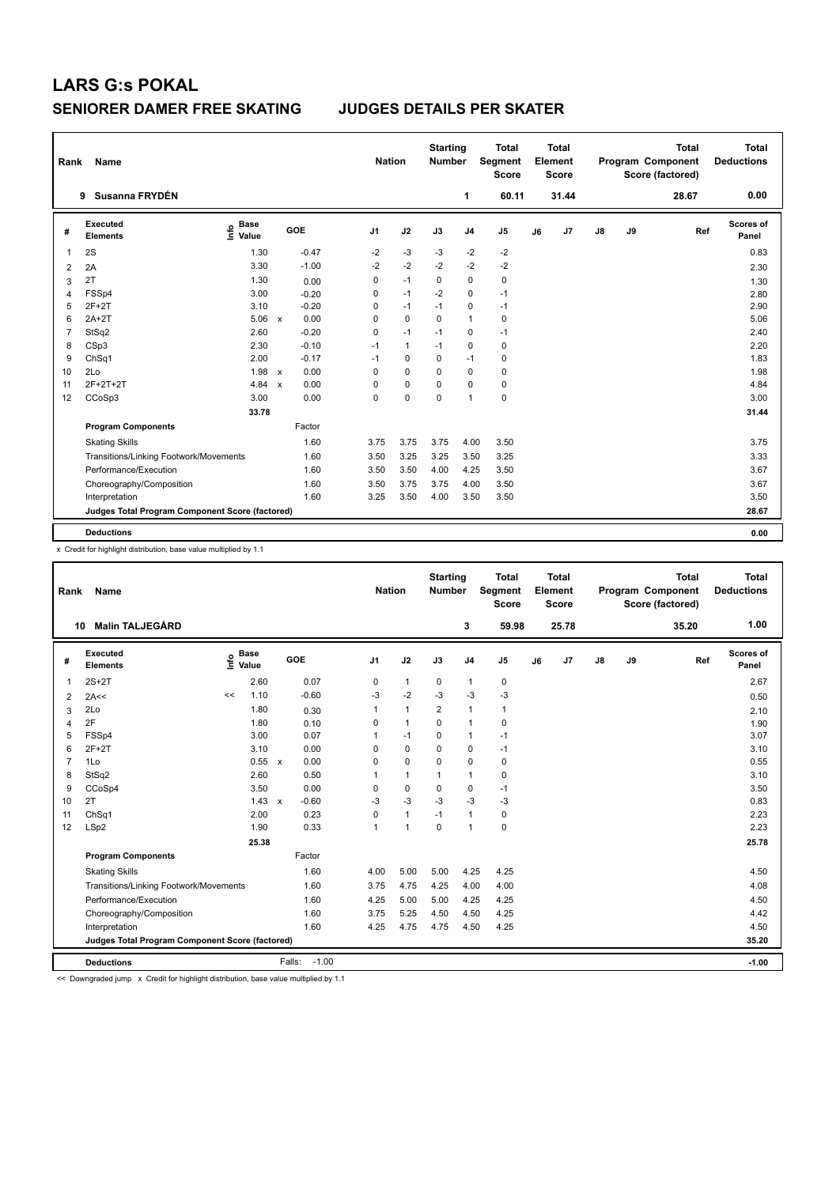| Rank           | Name                                            |                                  |                      | <b>Nation</b>  |              | <b>Starting</b><br><b>Number</b> |                | <b>Total</b><br>Segment<br><b>Score</b> |    | Total<br>Element<br><b>Score</b> |    |    | <b>Total</b><br>Program Component<br>Score (factored) | Total<br><b>Deductions</b> |
|----------------|-------------------------------------------------|----------------------------------|----------------------|----------------|--------------|----------------------------------|----------------|-----------------------------------------|----|----------------------------------|----|----|-------------------------------------------------------|----------------------------|
|                | Susanna FRYDÉN<br>9                             |                                  |                      |                |              |                                  | 1              | 60.11                                   |    | 31.44                            |    |    | 28.67                                                 | 0.00                       |
| #              | Executed<br><b>Elements</b>                     | <b>Base</b><br>e Base<br>⊆ Value | GOE                  | J <sub>1</sub> | J2           | J3                               | J <sub>4</sub> | J <sub>5</sub>                          | J6 | J <sub>7</sub>                   | J8 | J9 | Ref                                                   | Scores of<br>Panel         |
| $\mathbf{1}$   | 2S                                              | 1.30                             | $-0.47$              | $-2$           | $-3$         | $-3$                             | $-2$           | $-2$                                    |    |                                  |    |    |                                                       | 0.83                       |
| 2              | 2A                                              | 3.30                             | $-1.00$              | $-2$           | $-2$         | $-2$                             | $-2$           | $-2$                                    |    |                                  |    |    |                                                       | 2.30                       |
| 3              | 2T                                              | 1.30                             | 0.00                 | $\Omega$       | $-1$         | $\mathbf 0$                      | $\Omega$       | 0                                       |    |                                  |    |    |                                                       | 1.30                       |
| 4              | FSSp4                                           | 3.00                             | $-0.20$              | $\Omega$       | $-1$         | $-2$                             | $\Omega$       | $-1$                                    |    |                                  |    |    |                                                       | 2.80                       |
| 5              | $2F+2T$                                         | 3.10                             | $-0.20$              | 0              | $-1$         | $-1$                             | 0              | $-1$                                    |    |                                  |    |    |                                                       | 2.90                       |
| 6              | $2A+2T$                                         | 5.06                             | 0.00<br>$\mathbf{x}$ | $\Omega$       | $\mathbf 0$  | $\mathbf 0$                      | $\mathbf{1}$   | 0                                       |    |                                  |    |    |                                                       | 5.06                       |
| $\overline{7}$ | StSq2                                           | 2.60                             | $-0.20$              | $\Omega$       | $-1$         | $-1$                             | $\Omega$       | $-1$                                    |    |                                  |    |    |                                                       | 2.40                       |
| 8              | CSp3                                            | 2.30                             | $-0.10$              | $-1$           | $\mathbf{1}$ | $-1$                             | 0              | 0                                       |    |                                  |    |    |                                                       | 2.20                       |
| 9              | ChSq1                                           | 2.00                             | $-0.17$              | $-1$           | $\Omega$     | $\Omega$                         | $-1$           | 0                                       |    |                                  |    |    |                                                       | 1.83                       |
| 10             | 2Lo                                             | 1.98                             | 0.00<br>$\mathsf{x}$ | $\Omega$       | $\Omega$     | $\Omega$                         | $\Omega$       | 0                                       |    |                                  |    |    |                                                       | 1.98                       |
| 11             | 2F+2T+2T                                        | 4.84                             | 0.00<br>$\mathsf{x}$ | 0              | 0            | 0                                | 0              | 0                                       |    |                                  |    |    |                                                       | 4.84                       |
| 12             | CCoSp3                                          | 3.00                             | 0.00                 | $\Omega$       | $\Omega$     | $\Omega$                         | $\mathbf{1}$   | 0                                       |    |                                  |    |    |                                                       | 3.00                       |
|                |                                                 | 33.78                            |                      |                |              |                                  |                |                                         |    |                                  |    |    |                                                       | 31.44                      |
|                | <b>Program Components</b>                       |                                  | Factor               |                |              |                                  |                |                                         |    |                                  |    |    |                                                       |                            |
|                | <b>Skating Skills</b>                           |                                  | 1.60                 | 3.75           | 3.75         | 3.75                             | 4.00           | 3.50                                    |    |                                  |    |    |                                                       | 3.75                       |
|                | Transitions/Linking Footwork/Movements          |                                  | 1.60                 | 3.50           | 3.25         | 3.25                             | 3.50           | 3.25                                    |    |                                  |    |    |                                                       | 3.33                       |
|                | Performance/Execution                           |                                  | 1.60                 | 3.50           | 3.50         | 4.00                             | 4.25           | 3.50                                    |    |                                  |    |    |                                                       | 3.67                       |
|                | Choreography/Composition                        |                                  | 1.60                 | 3.50           | 3.75         | 3.75                             | 4.00           | 3.50                                    |    |                                  |    |    |                                                       | 3.67                       |
|                | Interpretation                                  |                                  | 1.60                 | 3.25           | 3.50         | 4.00                             | 3.50           | 3.50                                    |    |                                  |    |    |                                                       | 3.50                       |
|                | Judges Total Program Component Score (factored) |                                  |                      |                |              |                                  |                |                                         |    |                                  |    |    |                                                       | 28.67                      |
|                | <b>Deductions</b>                               |                                  |                      |                |              |                                  |                |                                         |    |                                  |    |    |                                                       | 0.00                       |
|                |                                                 |                                  |                      |                |              |                                  |                |                                         |    |                                  |    |    |                                                       |                            |

x Credit for highlight distribution, base value multiplied by 1.1

| Rank           | Name                                            |    |                                  |              |                   |                | <b>Nation</b>  | <b>Starting</b><br>Number |                | <b>Total</b><br>Segment<br><b>Score</b> |    | <b>Total</b><br>Element<br><b>Score</b> |    |    | <b>Total</b><br>Program Component<br>Score (factored) | <b>Total</b><br><b>Deductions</b> |
|----------------|-------------------------------------------------|----|----------------------------------|--------------|-------------------|----------------|----------------|---------------------------|----------------|-----------------------------------------|----|-----------------------------------------|----|----|-------------------------------------------------------|-----------------------------------|
| 10             | <b>Malin TALJEGÅRD</b>                          |    |                                  |              |                   |                |                |                           | 3              | 59.98                                   |    | 25.78                                   |    |    | 35.20                                                 | 1.00                              |
| #              | Executed<br><b>Elements</b>                     |    | <b>Base</b><br>e Base<br>E Value |              | GOE               | J <sub>1</sub> | J2             | J3                        | J <sub>4</sub> | J <sub>5</sub>                          | J6 | J7                                      | J8 | J9 | Ref                                                   | Scores of<br>Panel                |
| $\mathbf{1}$   | $2S+2T$                                         |    | 2.60                             |              | 0.07              | 0              | $\mathbf{1}$   | 0                         | $\mathbf{1}$   | 0                                       |    |                                         |    |    |                                                       | 2.67                              |
| 2              | 2A<<                                            | << | 1.10                             |              | $-0.60$           | $-3$           | $-2$           | $-3$                      | $-3$           | $-3$                                    |    |                                         |    |    |                                                       | 0.50                              |
| 3              | 2Lo                                             |    | 1.80                             |              | 0.30              | 1              | $\mathbf{1}$   | $\overline{2}$            | $\mathbf{1}$   | $\mathbf{1}$                            |    |                                         |    |    |                                                       | 2.10                              |
| 4              | 2F                                              |    | 1.80                             |              | 0.10              | 0              | $\mathbf{1}$   | 0                         | $\overline{1}$ | $\pmb{0}$                               |    |                                         |    |    |                                                       | 1.90                              |
| 5              | FSSp4                                           |    | 3.00                             |              | 0.07              | 1              | $-1$           | $\Omega$                  | $\mathbf{1}$   | $-1$                                    |    |                                         |    |    |                                                       | 3.07                              |
| 6              | $2F+2T$                                         |    | 3.10                             |              | 0.00              | 0              | $\mathbf 0$    | $\Omega$                  | $\mathbf 0$    | $-1$                                    |    |                                         |    |    |                                                       | 3.10                              |
| $\overline{7}$ | 1Lo                                             |    | 0.55                             | $\mathsf{x}$ | 0.00              | 0              | $\mathbf 0$    | $\Omega$                  | $\mathbf 0$    | $\mathbf 0$                             |    |                                         |    |    |                                                       | 0.55                              |
| 8              | StSq2                                           |    | 2.60                             |              | 0.50              | 1              | $\mathbf{1}$   | $\mathbf{1}$              | $\mathbf{1}$   | $\pmb{0}$                               |    |                                         |    |    |                                                       | 3.10                              |
| 9              | CCoSp4                                          |    | 3.50                             |              | 0.00              | 0              | 0              | $\Omega$                  | 0              | $-1$                                    |    |                                         |    |    |                                                       | 3.50                              |
| 10             | 2T                                              |    | 1.43                             | $\mathsf{x}$ | $-0.60$           | $-3$           | $-3$           | $-3$                      | $-3$           | $-3$                                    |    |                                         |    |    |                                                       | 0.83                              |
| 11             | ChSq1                                           |    | 2.00                             |              | 0.23              | 0              | $\overline{1}$ | $-1$                      | $\mathbf{1}$   | $\pmb{0}$                               |    |                                         |    |    |                                                       | 2.23                              |
| 12             | LSp2                                            |    | 1.90                             |              | 0.33              | 1              | $\overline{1}$ | $\mathbf 0$               | $\overline{1}$ | $\mathbf 0$                             |    |                                         |    |    |                                                       | 2.23                              |
|                |                                                 |    | 25.38                            |              |                   |                |                |                           |                |                                         |    |                                         |    |    |                                                       | 25.78                             |
|                | <b>Program Components</b>                       |    |                                  |              | Factor            |                |                |                           |                |                                         |    |                                         |    |    |                                                       |                                   |
|                | <b>Skating Skills</b>                           |    |                                  |              | 1.60              | 4.00           | 5.00           | 5.00                      | 4.25           | 4.25                                    |    |                                         |    |    |                                                       | 4.50                              |
|                | Transitions/Linking Footwork/Movements          |    |                                  |              | 1.60              | 3.75           | 4.75           | 4.25                      | 4.00           | 4.00                                    |    |                                         |    |    |                                                       | 4.08                              |
|                | Performance/Execution                           |    |                                  |              | 1.60              | 4.25           | 5.00           | 5.00                      | 4.25           | 4.25                                    |    |                                         |    |    |                                                       | 4.50                              |
|                | Choreography/Composition                        |    |                                  |              | 1.60              | 3.75           | 5.25           | 4.50                      | 4.50           | 4.25                                    |    |                                         |    |    |                                                       | 4.42                              |
|                | Interpretation                                  |    |                                  |              | 1.60              | 4.25           | 4.75           | 4.75                      | 4.50           | 4.25                                    |    |                                         |    |    |                                                       | 4.50                              |
|                | Judges Total Program Component Score (factored) |    |                                  |              |                   |                |                |                           |                |                                         |    |                                         |    |    |                                                       | 35.20                             |
|                | <b>Deductions</b>                               |    |                                  |              | $-1.00$<br>Falls: |                |                |                           |                |                                         |    |                                         |    |    |                                                       | $-1.00$                           |

<< Downgraded jump x Credit for highlight distribution, base value multiplied by 1.1